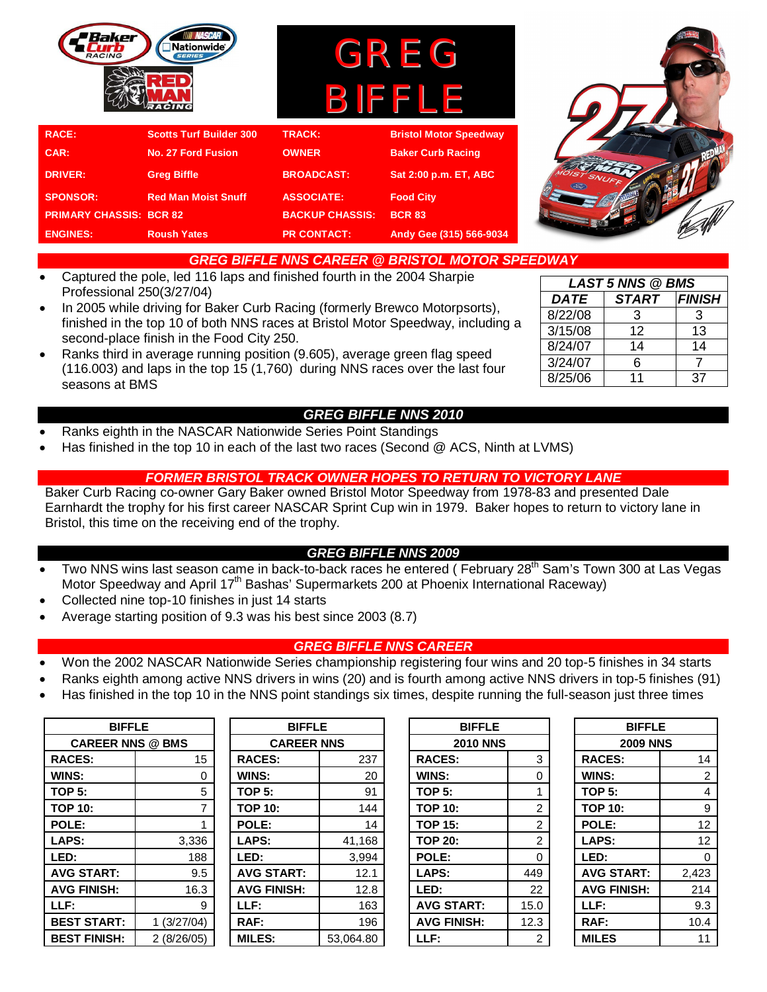

# *GREG BIFFLE NNS CAREER @ BRISTOL MOTOR SPEEDWAY*

- Captured the pole, led 116 laps and finished fourth in the 2004 Sharpie Professional 250(3/27/04)
- In 2005 while driving for Baker Curb Racing (formerly Brewco Motorpsorts), finished in the top 10 of both NNS races at Bristol Motor Speedway, including a second-place finish in the Food City 250.
- Ranks third in average running position (9.605), average green flag speed (116.003) and laps in the top 15 (1,760) during NNS races over the last four seasons at BMS
	- *GREG BIFFLE NNS 2010*
- Ranks eighth in the NASCAR Nationwide Series Point Standings
- Has finished in the top 10 in each of the last two races (Second @ ACS, Ninth at LVMS)

## *FORMER BRISTOL TRACK OWNER HOPES TO RETURN TO VICTORY LANE*

Baker Curb Racing co-owner Gary Baker owned Bristol Motor Speedway from 1978-83 and presented Dale Earnhardt the trophy for his first career NASCAR Sprint Cup win in 1979. Baker hopes to return to victory lane in Bristol, this time on the receiving end of the trophy.

### *GREG BIFFLE NNS 2009*

- Two NNS wins last season came in back-to-back races he entered (February 28<sup>th</sup> Sam's Town 300 at Las Vegas Motor Speedway and April 17<sup>th</sup> Bashas' Supermarkets 200 at Phoenix International Raceway)
- Collected nine top-10 finishes in just 14 starts
- Average starting position of 9.3 was his best since 2003 (8.7)

## *GREG BIFFLE NNS CAREER*

- Won the 2002 NASCAR Nationwide Series championship registering four wins and 20 top-5 finishes in 34 starts
- Ranks eighth among active NNS drivers in wins (20) and is fourth among active NNS drivers in top-5 finishes (91)
- Has finished in the top 10 in the NNS point standings six times, despite running the full-season just three times

| <b>BIFFLE</b>           |            | <b>BIFFLE</b>      |                   | <b>BIFFLE</b>      |                 | <b>BIFFLE</b>      |          |
|-------------------------|------------|--------------------|-------------------|--------------------|-----------------|--------------------|----------|
| <b>CAREER NNS @ BMS</b> |            |                    | <b>CAREER NNS</b> |                    | <b>2010 NNS</b> | <b>2009 NNS</b>    |          |
| <b>RACES:</b>           | 15         | <b>RACES:</b>      | 237               | <b>RACES:</b>      | 3               | <b>RACES:</b>      | 14       |
| WINS:                   |            | WINS:              | 20                | WINS:              | 0               | WINS:              | 2        |
| <b>TOP 5:</b>           | 5          | <b>TOP 5:</b>      | 91                | <b>TOP 5:</b>      |                 | TOP 5:             | 4        |
| <b>TOP 10:</b>          |            | <b>TOP 10:</b>     | 144               | <b>TOP 10:</b>     | 2               | <b>TOP 10:</b>     | 9        |
| POLE:                   |            | POLE:              | 14                | <b>TOP 15:</b>     | 2               | POLE:              | 12       |
| LAPS:                   | 3,336      | LAPS:              | 41,168            | <b>TOP 20:</b>     | 2               | LAPS:              | 12       |
| LED:                    | 188        | LED:               | 3,994             | POLE:              | $\Omega$        | LED:               | $\Omega$ |
| <b>AVG START:</b>       | 9.5        | <b>AVG START:</b>  | 12.1              | LAPS:              | 449             | <b>AVG START:</b>  | 2,423    |
| <b>AVG FINISH:</b>      | 16.3       | <b>AVG FINISH:</b> | 12.8              | LED:               | 22              | <b>AVG FINISH:</b> | 214      |
| LLF:                    | 9          | LLF:               | 163               | <b>AVG START:</b>  | 15.0            | LLF:               | 9.3      |
| <b>BEST START:</b>      | (3/27/04)  | RAF:               | 196               | <b>AVG FINISH:</b> | 12.3            | RAF:               | 10.4     |
| <b>BEST FINISH:</b>     | 2(8/26/05) | <b>MILES:</b>      | 53.064.80         | LLF:               | 2               | <b>MILES</b>       | 11       |

| <b>BIFFLE</b>           |            | <b>BIFFLE</b>      |                   |  | <b>BIFFLE</b>      |      | <b>BIFFLE</b>      |       |
|-------------------------|------------|--------------------|-------------------|--|--------------------|------|--------------------|-------|
| <b>CAREER NNS @ BMS</b> |            |                    | <b>CAREER NNS</b> |  | <b>2010 NNS</b>    |      | <b>2009 NNS</b>    |       |
| <b>RACES:</b>           | 15         | <b>RACES:</b>      | 237               |  | <b>RACES:</b>      | 3    | <b>RACES:</b>      | 14    |
| <b>WINS:</b>            | 0          | WINS:              | 20                |  | WINS:              |      | WINS:              | 2     |
| TOP 5:                  | 5          | <b>TOP 5:</b>      | 91                |  | <b>TOP 5:</b>      |      | <b>TOP 5:</b>      | 4     |
| TOP 10:                 |            | <b>TOP 10:</b>     | 144               |  | <b>TOP 10:</b>     | 2    | <b>TOP 10:</b>     | 9     |
| POLE:                   |            | POLE:              | 14                |  | <b>TOP 15:</b>     | 2    | POLE:              | 12    |
| LAPS:                   | 3,336      | LAPS:              | 41,168            |  | <b>TOP 20:</b>     | 2    | LAPS:              | 12    |
| LED:                    | 188        | LED:               | 3,994             |  | POLE:              | 0    | LED:               | 0     |
| <b>AVG START:</b>       | 9.5        | <b>AVG START:</b>  | 12.1              |  | LAPS:              | 449  | <b>AVG START:</b>  | 2,423 |
| <b>AVG FINISH:</b>      | 16.3       | <b>AVG FINISH:</b> | 12.8              |  | LED:               | 22   | <b>AVG FINISH:</b> | 214   |
| LLF:                    | 9          | LLF:               | 163               |  | <b>AVG START:</b>  | 15.0 | LLF:               | 9.3   |
| <b>BEST START:</b>      | 1(3/27/04) | RAF:               | 196               |  | <b>AVG FINISH:</b> | 12.3 | RAF:               | 10.4  |
| <b>BEST FINISH:</b>     | 2(8/26/05) | <b>MILES:</b>      | 53,064.80         |  | LLF:               | 2    | <b>MILES</b>       | 11    |

| <b>BIFFLE</b>      |                |  |  |  |  |
|--------------------|----------------|--|--|--|--|
| <b>2010 NNS</b>    |                |  |  |  |  |
| <b>RACES:</b>      | 3              |  |  |  |  |
| <b>WINS:</b>       | 0              |  |  |  |  |
| <b>TOP 5:</b>      | 1              |  |  |  |  |
| <b>TOP 10:</b>     | 2              |  |  |  |  |
| <b>TOP 15:</b>     | $\overline{2}$ |  |  |  |  |
| <b>TOP 20:</b>     | $\overline{2}$ |  |  |  |  |
| <b>POLE:</b>       | 0              |  |  |  |  |
| <b>LAPS:</b>       | 449            |  |  |  |  |
| LED:               | 22             |  |  |  |  |
| <b>AVG START:</b>  | 15.0           |  |  |  |  |
| <b>AVG FINISH:</b> | 12.3           |  |  |  |  |
| LLF:               | 2              |  |  |  |  |

| <b>BIFFLE</b>      |                |  |  |  |  |
|--------------------|----------------|--|--|--|--|
| <b>2009 NNS</b>    |                |  |  |  |  |
| <b>RACES:</b>      | 14             |  |  |  |  |
| WINS:              | $\overline{2}$ |  |  |  |  |
| <b>TOP 5:</b>      | 4              |  |  |  |  |
| <b>TOP 10:</b>     | 9              |  |  |  |  |
| <b>POLE:</b>       | 12             |  |  |  |  |
| LAPS:              | 12             |  |  |  |  |
| LED:               | 0              |  |  |  |  |
| <b>AVG START:</b>  | 2,423          |  |  |  |  |
| <b>AVG FINISH:</b> | 214            |  |  |  |  |
| LLF:               | 9.3            |  |  |  |  |
| RAF:               | 10.4           |  |  |  |  |
| MILES              | 11             |  |  |  |  |

| <b>LAST 5 NNS @ BMS</b> |              |               |  |  |  |  |  |  |
|-------------------------|--------------|---------------|--|--|--|--|--|--|
| <b>DATE</b>             | <b>START</b> | <b>FINISH</b> |  |  |  |  |  |  |
| 8/22/08                 | 3            | 3             |  |  |  |  |  |  |
| 3/15/08                 | 12           | 13            |  |  |  |  |  |  |
| 8/24/07                 | 14           | 14            |  |  |  |  |  |  |
| 3/24/07                 | 6            |               |  |  |  |  |  |  |
| 8/25/06                 | 11           | 37            |  |  |  |  |  |  |